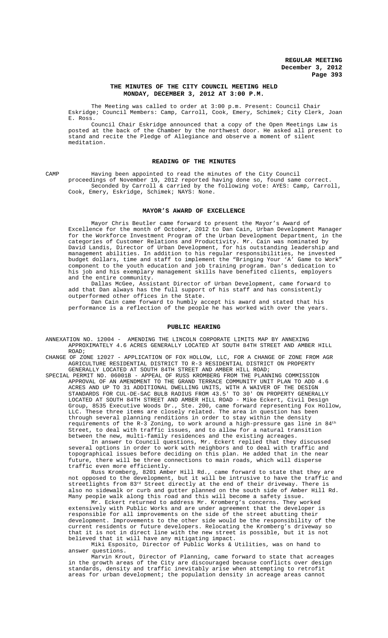#### **THE MINUTES OF THE CITY COUNCIL MEETING HELD MONDAY, DECEMBER 3, 2012 AT 3:00 P.M.**

The Meeting was called to order at 3:00 p.m. Present: Council Chair Eskridge; Council Members: Camp, Carroll, Cook, Emery, Schimek; City Clerk, Joan E. Ross.

Council Chair Eskridge announced that a copy of the Open Meetings Law is posted at the back of the Chamber by the northwest door. He asked all present to stand and recite the Pledge of Allegiance and observe a moment of silent meditation.

#### **READING OF THE MINUTES**

CAMP Having been appointed to read the minutes of the City Council proceedings of November 19, 2012 reported having done so, found same correct. Seconded by Carroll & carried by the following vote: AYES: Camp, Carroll, Cook, Emery, Eskridge, Schimek; NAYS: None.

#### **MAYOR'S AWARD OF EXCELLENCE**

Mayor Chris Beutler came forward to present the Mayor's Award of Excellence for the month of October, 2012 to Dan Cain, Urban Development Manager for the Workforce Investment Program of the Urban Development Department, in the categories of Customer Relations and Productivity. Mr. Cain was nominated by David Landis, Director of Urban Development, for his outstanding leadership and management abilities. In addition to his regular responsibilities, he invested budget dollars, time and staff to implement the "Bringing Your 'A' Game to Work" component to the youth education and job training program. Dan's dedication to<br>his job and his exemplary management skills have benefited clients, employers job and his exemplary management skills have benefited clients, employers and the entire community.

Dallas McGee, Assistant Director of Urban Development, came forward to add that Dan always has the full support of his staff and has consistently outperformed other offices in the State.

Dan Cain came forward to humbly accept his award and stated that his performance is a reflection of the people he has worked with over the years.

#### **PUBLIC HEARING**

ANNEXATION NO. 12004 - AMENDING THE LINCOLN CORPORATE LIMITS MAP BY ANNEXING APPROXIMATELY 4.6 ACRES GENERALLY LOCATED AT SOUTH 84TH STREET AND AMBER HILL ROAD;

CHANGE OF ZONE 12027 - APPLICATION OF FOX HOLLOW, LLC, FOR A CHANGE OF ZONE FROM AGR AGRICULTURE RESIDENTIAL DISTRICT TO R-3 RESIDENTIAL DISTRICT ON PROPERTY GENERALLY LOCATED AT SOUTH 84TH STREET AND AMBER HILL ROAD;

SPECIAL PERMIT NO. 06001B - APPEAL OF RUSS KROMBERG FROM THE PLANNING COMMISSION APPROVAL OF AN AMENDMENT TO THE GRAND TERRACE COMMUNITY UNIT PLAN TO ADD 4.6 ACRES AND UP TO 31 ADDITIONAL DWELLING UNITS, WITH A WAIVER OF THE DESIGN STANDARDS FOR CUL-DE-SAC BULB RADIUS FROM 43.5' TO 30' ON PROPERTY GENERALLY LOCATED AT SOUTH 84TH STREET AND AMBER HILL ROAD - Mike Eckert, Civil Design Group, 8535 Executive Woods Dr., Ste. 200, came forward representing Fox Hollow, LLC. These three items are closely related. The area in question has been through several planning renditions in order to stay within the density requirements of the R-3 Zoning, to work around a high-pressure gas line in  $84^{\rm th}$ Street, to deal with traffic issues, and to allow for a natural transition between the new, multi-family residences and the existing acreages.

In answer to Council questions, Mr. Eckert replied that they discussed several options in order to work with neighbors and to deal with traffic and topographical issues before deciding on this plan. He added that in the near future, there will be three connections to main roads, which will disperse traffic even more efficiently.

Russ Kromberg, 8201 Amber Hill Rd., came forward to state that they are not opposed to the development, but it will be intrusive to have the traffic and streetlights from 83rd Street directly at the end of their driveway. There is also no sidewalk or curb and gutter planned on the south side of Amber Hill Rd. Many people walk along this road and this will become a safety issue.

Mr. Eckert returned to address Mr. Kromberg's concerns. They worked extensively with Public Works and are under agreement that the developer is responsible for all improvements on the side of the street abutting their development. Improvements to the other side would be the responsibility of the current residents or future developers. Relocating the Kromberg's driveway so that it is not in direct line with the new street is possible, but it is not believed that it will have any mitigating impact.

Miki Esposito, Director of Public Works & Utilities, was on hand to answer questions.

Marvin Krout, Director of Planning, came forward to state that acreages in the growth areas of the City are discouraged because conflicts over design standards, density and traffic inevitably arise when attempting to retrofit areas for urban development; the population density in acreage areas cannot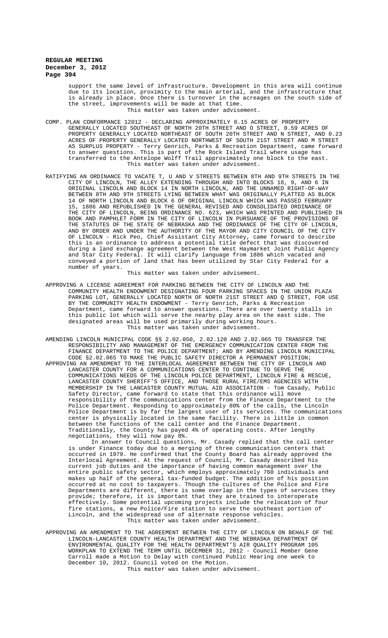> support the same level of infrastructure. Development in this area will continue due to its location, proximity to the main arterial, and the infrastructure that is already in place. Once there is turnover in the acreages on the south side of the street, improvements will be made at that time. This matter was taken under advisement.

- COMP. PLAN CONFORMANCE 12012 DECLARING APPROXIMATELY 0.15 ACRES OF PROPERTY GENERALLY LOCATED SOUTHEAST OF NORTH 20TH STREET AND O STREET, 0.59 ACRES OF PROPERTY GENERALLY LOCATED NORTHEAST OF SOUTH 20TH STREET AND N STREET, AND 0.23 ACRES OF PROPERTY GENERALLY LOCATED NORTHWEST OF SOUTH 21ST STREET AND M STREET AS SURPLUS PROPERTY - Terry Genrich, Parks & Recreation Department, came forward to answer questions. This is part of the Rock Island Trail where usage has transferred to the Antelope Wolff Trail approximately one block to the east. This matter was taken under advisement.
- RATIFYING AN ORDINANCE TO VACATE T, U AND V STREETS BETWEEN 8TH AND 9TH STREETS IN THE CITY OF LINCOLN, THE ALLEY EXTENDING THROUGH AND INTO BLOCKS 18, 9, AND 6 IN ORIGINAL LINCOLN AND BLOCK 14 IN NORTH LINCOLN, AND THE UNNAMED RIGHT-OF-WAY BETWEEN 8TH AND 9TH STREETS LYING BETWEEN WHAT WAS ORIGINALLY PLATTED AS BLOCK 14 OF NORTH LINCOLN AND BLOCK 6 OF ORIGINAL LINCOLN WHICH WAS PASSED FEBRUARY 15, 1886 AND REPUBLISHED IN THE GENERAL REVISED AND CONSOLIDATED ORDINANCE OF THE CITY OF LINCOLN, BEING ORDINANCE NO. 623, WHICH WAS PRINTED AND PUBLISHED IN BOOK AND PAMPHLET FORM IN THE CITY OF LINCOLN IN PURSUANCE OF THE PROVISIONS OF THE STATUTES OF THE STATE OF NEBRASKA AND THE ORDINANCE OF THE CITY OF LINCOLN, AND BY ORDER AND UNDER THE AUTHORITY OF THE MAYOR AND CITY COUNCIL OF THE CITY OF LINCOLN - Rick Peo, Chief Assistant City Attorney, came forward to describe this is an ordinance to address a potential title defect that was discovered during a land exchange agreement between the West Haymarket Joint Public Agency and Star City Federal. It will clarify language from 1886 which vacated and conveyed a portion of land that has been utilized by Star City Federal for a number of years.

This matter was taken under advisement.

- APPROVING A LICENSE AGREEMENT FOR PARKING BETWEEN THE CITY OF LINCOLN AND THE COMMUNITY HEALTH ENDOWMENT DESIGNATING FOUR PARKING SPACES IN THE UNION PLAZA PARKING LOT, GENERALLY LOCATED NORTH OF NORTH 21ST STREET AND Q STREET, FOR USE BY THE COMMUNITY HEALTH ENDOWMENT - Terry Genrich, Parks & Recreation Department, came forward to answer questions. There are over twenty stalls in this public lot which will serve the nearby play area on the east side. The designated areas will be used primarily during working hours. This matter was taken under advisement.
- AMENDING LINCOLN MUNICIPAL CODE §§ 2.02.050, 2.02.120 AND 2.02.065 TO TRANSFER THE RESPONSIBILITY AND MANAGEMENT OF THE EMERGENCY COMMUNICATION CENTER FROM THE FINANCE DEPARTMENT TO THE POLICE DEPARTMENT; AND BY AMENDING LINCOLN MUNICIPAL CODE §2.02.065 TO MAKE THE PUBLIC SAFETY DIRECTOR A PERMANENT POSITION; APPROVING AN AMENDMENT TO THE INTERLOCAL AGREEMENT BETWEEN THE CITY OF LINCOLN AND LANCASTER COUNTY FOR A COMMUNICATIONS CENTER TO CONTINUE TO SERVE THE COMMUNICATIONS NEEDS OF THE LINCOLN POLICE DEPARTMENT, LINCOLN FIRE & RESCUE, LANCASTER COUNTY SHERIFF'S OFFICE, AND THOSE RURAL FIRE/EMS AGENCIES WITH MEMBERSHIP IN THE LANCASTER COUNTY MUTUAL AID ASSOCIATION - Tom Casady, Public Safety Director, came forward to state that this ordinance will move responsibility of the communications center from the Finance Department to the Police Department. Responding to approximately 80% of the calls, the Lincoln Police Department is by far the largest user of its services. The communications center is physically located in the same facility. There is little in common between the functions of the call center and the Finance Department. Traditionally, the County has payed 4% of operating costs. After lengthy negotiations, they will now pay 8%.

In answer to Council questions, Mr. Casady replied that the call center is under Finance today due to a merging of three communication centers that occurred in 1979. He confirmed that the County Board has already approved the Interlocal Agreement. At the request of Council, Mr. Casady described his current job duties and the importance of having common management over the entire public safety sector, which employs approximately 760 individuals and makes up half of the general tax-funded budget. The addition of his position occurred at no cost to taxpayers. Though the cultures of the Police and Fire Departments are different, there is some overlap in the types of services they provide; therefore, it is important that they are trained to interoperate effectively. Some potential upcoming projects include the relocation of four fire stations, a new Police/Fire station to serve the southeast portion of Lincoln, and the widespread use of alternate response vehicles. This matter was taken under advisement.

APPROVING AN AMENDMENT TO THE AGREEMENT BETWEEN THE CITY OF LINCOLN ON BEHALF OF THE LINCOLN-LANCASTER COUNTY HEALTH DEPARTMENT AND THE NEBRASKA DEPARTMENT OF ENVIRONMENTAL QUALITY FOR THE HEALTH DEPARTMENT'S AIR QUALITY PROGRAM 105 WORKPLAN TO EXTEND THE TERM UNTIL DECEMBER 31, 2012 - Council Member Gene Carroll made a Motion to Delay with continued Public Hearing one week to December 10, 2012. Council voted on the Motion. This matter was taken under advisement.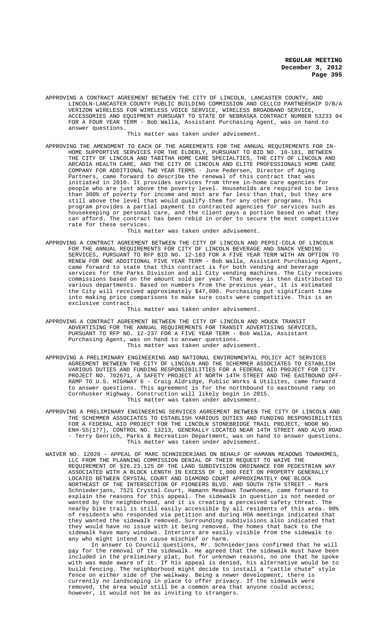APPROVING A CONTRACT AGREEMENT BETWEEN THE CITY OF LINCOLN, LANCASTER COUNTY, AND LINCOLN-LANCASTER COUNTY PUBLIC BUILDING COMMISSION AND CELLCO PARTNERSHIP D/B/A VERIZON WIRELESS FOR WIRELESS VOICE SERVICE, WIRELESS BROADBAND SERVICE, ACCESSORIES AND EQUIPMENT PURSUANT TO STATE OF NEBRASKA CONTRACT NUMBER 53233 04 FOR A FOUR YEAR TERM - Bob Walla, Assistant Purchasing Agent, was on hand to answer questions.

This matter was taken under advisement.

APPROVING THE AMENDMENT TO EACH OF THE AGREEMENTS FOR THE ANNUAL REQUIREMENTS FOR IN-HOME SUPPORTIVE SERVICES FOR THE ELDERLY, PURSUANT TO BID NO. 10-181, BETWEEN THE CITY OF LINCOLN AND TABITHA HOME CARE SPECIALTIES, THE CITY OF LINCOLN AND ARCADIA HEALTH CARE, AND THE CITY OF LINCOLN AND ELITE PROFESSIONALS HOME CARE COMPANY FOR ADDITIONAL TWO YEAR TERMS - June Pedersen, Director of Aging Partners, came forward to describe the renewal of this contract that was initiated in 2010. It provides services from three in-home care agencies for people who are just above the poverty level. Households are required to be less than 300% of poverty for income and most are far less than that, but they are still above the level that would qualify them for any other programs. This program provides a partial payment to contracted agencies for services such as housekeeping or personal care, and the client pays a portion based on what they can afford. The contract has been rebid in order to secure the most competitive rate for these services.

This matter was taken under advisement.

APPROVING A CONTRACT AGREEMENT BETWEEN THE CITY OF LINCOLN AND PEPSI-COLA OF LINCOLN FOR THE ANNUAL REQUIREMENTS FOR CITY OF LINCOLN BEVERAGE AND SNACK VENDING SERVICES, PURSUANT TO RFP BID NO. 12-183 FOR A FIVE YEAR TERM WITH AN OPTION TO RENEW FOR ONE ADDITIONAL FIVE YEAR TERM - Bob Walla, Assistant Purchasing Agent, came forward to state that this contract is for both vending and beverage services for the Parks Division and all City vending machines. The City receives commissions based on the amount sold per year. That money is then distributed to various departments. Based on numbers from the previous year, it is estimated the City will received approximately \$47,000. Purchasing put significant time into making price comparisons to make sure costs were competitive. This is an exclusive contract.

This matter was taken under advisement.

- APPROVING A CONTRACT AGREEMENT BETWEEN THE CITY OF LINCOLN AND HOUCK TRANSIT ADVERTISING FOR THE ANNUAL REQUIREMENTS FOR TRANSIT ADVERTISING SERVICES, PURSUANT TO RFP NO. 12-237 FOR A FIVE YEAR TERM - Bob Walla, Assistant Purchasing Agent, was on hand to answer questions. This matter was taken under advisement.
- APPROVING A PRELIMINARY ENGINEERING AND NATIONAL ENVIRONMENTAL POLICY ACT SERVICES AGREEMENT BETWEEN THE CITY OF LINCOLN AND THE SCHEMMER ASSOCIATES TO ESTABLISH VARIOUS DUTIES AND FUNDING RESPONSIBILITIES FOR A FEDERAL AID PROJECT FOR CITY PROJECT NO. 702671, A SAFETY PROJECT AT NORTH 14TH STREET AND THE EASTBOUND OFF-RAMP TO U.S. HIGHWAY 6 - Craig Aldridge, Public Works & Utilites, came forward to answer questions. This agreement is for the northbound to eastbound ramp on Cornhusker Highway. Construction will likely begin in 2015. This matter was taken under advisement.
- APPROVING A PRELIMINARY ENGINEERING SERVICES AGREEMENT BETWEEN THE CITY OF LINCOLN AND THE SCHEMMER ASSOCIATES TO ESTABLISH VARIOUS DUTIES AND FUNDING RESPONSIBILITIES FOR A FEDERAL AID PROJECT FOR THE LINCOLN STONEBRIDGE TRAIL PROJECT, NDOR NO. ENH-55(177), CONTROL NO. 13213, GENERALLY LOCATED NEAR 14TH STREET AND ALVO ROAD - Terry Genrich, Parks & Recreation Department, was on hand to answer questions. This matter was taken under advisement.
- WAIVER NO. 12020 APPEAL OF MARC SCHNIEDERJANS ON BEHALF OF HAMANN MEADOWS TOWNHOMES, LLC FROM THE PLANNING COMMISSION DENIAL OF THEIR REQUEST TO WAIVE THE REQUIREMENT OF §26.23.125 OF THE LAND SUBDIVISION ORDINANCE FOR PEDESTRIAN WAY ASSOCIATED WITH A BLOCK LENGTH IN EXCESS OF 1,000 FEET ON PROPERTY GENERALLY LOCATED BETWEEN CRYSTAL COURT AND DIAMOND COURT APPROXIMATELY ONE BLOCK NORTHEAST OF THE INTERSECTION OF PIONEERS BLVD. AND SOUTH 76TH STREET - Mark Schniederjans, 7521 Crystal Court, Hamann Meadows Townhomes, came forward to explain the reasons for this appeal. The sidewalk in question is not needed or wanted by the neighborhood, and it is creating a perceived safety threat. The nearby bike trail is still easily accessible by all residents of this area. 90% of residents who responded via petition and during HOA meetings indicated that they wanted the sidewalk removed. Surrounding subdivisions also indicated that they would have no issue with it being removed. The homes that back to the sidewalk have many windows. Interiors are easily visible from the sidewalk to any who might intend to cause mischief or harm.

In answer to Council questions, Mr. Schniederjans confirmed that he will pay for the removal of the sidewalk. He agreed that the sidewalk must have been included in the preliminary plat, but for unknown reasons, no one that he spoke with was made aware of it. If his appeal is denied, his alternative would be to build fencing. The neighborhood might decide to install a "cattle chute" style fence on either side of the walkway. Being a newer development, there is currently no landscaping in place to offer privacy. If the sidewalk were removed, the area would still be a common area that anyone could access; however, it would not be as inviting to strangers.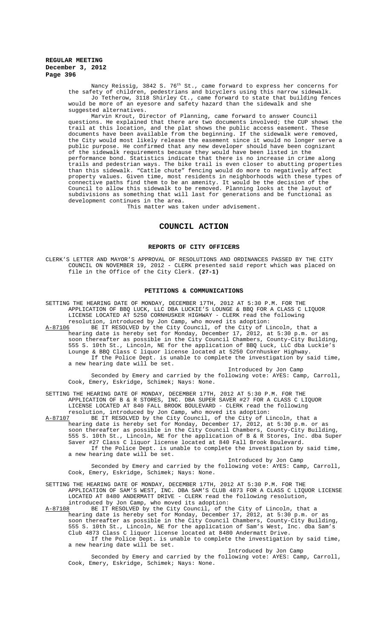Nancy Reissig, 3842 S. 76<sup>th</sup> St., came forward to express her concerns for the safety of children, pedestrians and bicyclers using this narrow sidewalk. Jo Tetherow, 3118 Shirley Ct., came forward to state that building fences would be more of an eyesore and safety hazard than the sidewalk and she suggested alternatives.

Marvin Krout, Director of Planning, came forward to answer Council questions. He explained that there are two documents involved; the CUP shows the trail at this location, and the plat shows the public access easement. These documents have been available from the beginning. If the sidewalk were removed, the City would most likely release the easement since it would no longer serve a public purpose. He confirmed that any new developer should have been cognizant of the sidewalk requirements because they would have been listed in the performance bond. Statistics indicate that there is no increase in crime along trails and pedestrian ways. The bike trail is even closer to abutting properties than this sidewalk. "Cattle chute" fencing would do more to negatively affect property values. Given time, most residents in neighborhoods with these types of connective paths find them to be an amenity. It would be the decision of the Council to allow this sidewalk to be removed. Planning looks at the layout of subdivisions as something that will last for generations and be functional as development continues in the area.

This matter was taken under advisement.

# **COUNCIL ACTION**

#### **REPORTS OF CITY OFFICERS**

CLERK'S LETTER AND MAYOR'S APPROVAL OF RESOLUTIONS AND ORDINANCES PASSED BY THE CITY COUNCIL ON NOVEMBER 19, 2012 - CLERK presented said report which was placed on file in the Office of the City Clerk. **(27-1)**

#### **PETITIONS & COMMUNICATIONS**

SETTING THE HEARING DATE OF MONDAY, DECEMBER 17TH, 2012 AT 5:30 P.M. FOR THE APPLICATION OF BBQ LUCK, LLC DBA LUCKIE'S LOUNGE & BBQ FOR A CLASS C LIQUOR LICENSE LOCATED AT 5250 CORNHUSKER HIGHWAY - CLERK read the following resolution, introduced by Jon Camp, who moved its adoption:<br>A-87106 BE IT RESOLVED by the City Council, of the City of L:

BE IT RESOLVED by the City Council, of the City of Lincoln, that a hearing date is hereby set for Monday, December 17, 2012, at 5:30 p.m. or as soon thereafter as possible in the City Council Chambers, County-City Building, 555 S. 10th St., Lincoln, NE for the application of BBQ Luck, LLC dba Luckie's Lounge & BBQ Class C liquor license located at 5250 Cornhusker Highway. If the Police Dept. is unable to complete the investigation by said time, a new hearing date will be set.

Introduced by Jon Camp Seconded by Emery and carried by the following vote: AYES: Camp, Carroll, Cook, Emery, Eskridge, Schimek; Nays: None.

SETTING THE HEARING DATE OF MONDAY, DECEMBER 17TH, 2012 AT 5:30 P.M. FOR THE APPLICATION OF B & R STORES, INC. DBA SUPER SAVER #27 FOR A CLASS C LIQUOR LICENSE LOCATED AT 840 FALL BROOK BOULEVARD - CLERK read the following

resolution, introduced by Jon Camp, who moved its adoption:<br>A-87107 BE IT RESOLVED by the City Council, of the City of L: A-87107 BE IT RESOLVED by the City Council, of the City of Lincoln, that a hearing date is hereby set for Monday, December 17, 2012, at 5:30 p.m. or as soon thereafter as possible in the City Council Chambers, County-City Building, 555 S. 10th St., Lincoln, NE for the application of B & R Stores, Inc. dba Super Saver #27 Class C liquor license located at 840 Fall Brook Boulevard. If the Police Dept. is unable to complete the investigation by said time, a new hearing date will be set.

Introduced by Jon Camp Seconded by Emery and carried by the following vote: AYES: Camp, Carroll, Cook, Emery, Eskridge, Schimek; Nays: None.

SETTING THE HEARING DATE OF MONDAY, DECEMBER 17TH, 2012 AT 5:30 P.M. FOR THE APPLICATION OF SAM'S WEST, INC. DBA SAM'S CLUB 4873 FOR A CLASS C LIQUOR LICENSE LOCATED AT 8480 ANDERMATT DRIVE - CLERK read the following resolution, introduced by Jon Camp, who moved its adoption:

A-87108 BE IT RESOLVED by the City Council, of the City of Lincoln, that a hearing date is hereby set for Monday, December 17, 2012, at 5:30 p.m. or as soon thereafter as possible in the City Council Chambers, County-City Building, 555 S. 10th St., Lincoln, NE for the application of Sam's West, Inc. dba Sam's Club 4873 Class C liquor license located at 8480 Andermatt Drive.

If the Police Dept. is unable to complete the investigation by said time, a new hearing date will be set. Introduced by Jon Camp

Seconded by Emery and carried by the following vote: AYES: Camp, Carroll, Cook, Emery, Eskridge, Schimek; Nays: None.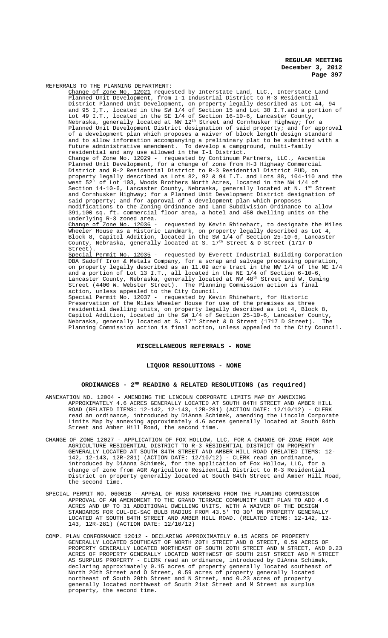REFERRALS TO THE PLANNING DEPARTMENT:

Change of Zone No. 12021 requested by Interstate Land, LLC., Interstate Land Planned Unit Development, from I-1 Industrial District to R-3 Residential District Planned Unit Development, on property legally described as Lot 44, 94 and 95 I,T., located in the SW 1/4 of Section 15 and Lot 38 I.T.and a portion of Lot 49 I.T., located in the SE 1/4 of Section 16-10-6, Lancaster County, Nebraska, generally located at NW  $12^{\text{th}}$  Street and Cornhusker Highway; for a Planned Unit Development District designation of said property; and for approval of a development plan which proposes a waiver of block length design standard and to allow information accompanying a preliminary plat to be submitted with a future administrative amendment. To develop a campground, multi-family residential and any use allowed in the I-1 District. Change of Zone No. 12029 - requested by Continuum Partners, LLC., Ascentia Planned Unit Development, for a change of zone from H-3 Highway Commercial Planned Unit Development, for a change of zone from H-3 Highway Commercial District and R-2 Residential District to R-3 Residential District PUD, on property legally described as Lots 82, 92 & 94 I.T. and Lots 88, 104-110 and the west 52' of Lot 103, Woods Brothers North Acres, located in the NW 1/4 of Section 14-10-6, Lancaster County, Nebraska, generally located at N.  $1^{\text{st}}$  Street and Cornhusker Highway; for a Planned Unit Development District designation of said property; and for approval of a development plan which proposes modifications to the Zoning Ordinance and Land Subdivision Ordinance to allow 391,100 sq. ft. commercial floor area, a hotel and 450 dwelling units on the underlying R-3 zoned area. Change of Zone No. 12036 - requested by Kevin Rhinehart, to designate the Miles Wheeler House as a Historic Landmark, on property legally described as Lot 4, Block 8, Capitol Addition, located in the SW 1/4 of Section 25-10-6, Lancaster County, Nebraska, generally located at S. 17th Street & D Street (1717 D Street). Special Permit No. 12035 - requested by Everett Industrial Building Corporation DBA Sadoff Iron & Metals Company, for a scrap and salvage processing operation, on property legally described as an 11.09 acre tract in the NW 1/4 of the NE 1/4 and a portion of Lot 13 I.T., all located in the NE 1/4 of Section 6-10-6, Lancaster County, Nebraska, generally located at NW  $48^{\rm th}$  Street and W. Cuming Street (4400 W. Webster Street). The Planning Commission action is final Street (4400 W. Webster Street). The Planni<br>action, unless appealed to the City Council. Special Permit No. 12037 - requested by Kevin Rhinehart, for Historic Preservation of the Miles Wheeler House for use of the premises as three residential dwelling units, on property legally described as Lot 4, Block 8, Capitol Addition, located in the SW 1/4 of Section 25-10-6, Lancaster County, Nebraska, generally located at S.  $17^{\text{th}}$  Street & D Street (1717 D Street). The Planning Commission action is final action, unless appealed to the City Council.

### **MISCELLANEOUS REFERRALS - NONE**

#### **LIQUOR RESOLUTIONS - NONE**

#### **ORDINANCES - 2ND READING & RELATED RESOLUTIONS (as required)**

- ANNEXATION NO. 12004 AMENDING THE LINCOLN CORPORATE LIMITS MAP BY ANNEXING APPROXIMATELY 4.6 ACRES GENERALLY LOCATED AT SOUTH 84TH STREET AND AMBER HILL ROAD (RELATED ITEMS: 12-142, 12-143, 12R-281) (ACTION DATE: 12/10/12) - CLERK read an ordinance, introduced by DiAnna Schimek, amending the Lincoln Corporate Limits Map by annexing approximately 4.6 acres generally located at South 84th Street and Amber Hill Road, the second time.
- CHANGE OF ZONE 12027 APPLICATION OF FOX HOLLOW, LLC, FOR A CHANGE OF ZONE FROM AGR AGRICULTURE RESIDENTIAL DISTRICT TO R-3 RESIDENTIAL DISTRICT ON PROPERTY GENERALLY LOCATED AT SOUTH 84TH STREET AND AMBER HILL ROAD (RELATED ITEMS: 12- 142, 12-143, 12R-281) (ACTION DATE: 12/10/12) - CLERK read an ordinance, introduced by DiAnna Schimek, for the application of Fox Hollow, LLC, for a change of zone from AGR Agriculture Residential District to R-3 Residential District on property generally located at South 84th Street and Amber Hill Road, the second time.
- SPECIAL PERMIT NO. 06001B APPEAL OF RUSS KROMBERG FROM THE PLANNING COMMISSION APPROVAL OF AN AMENDMENT TO THE GRAND TERRACE COMMUNITY UNIT PLAN TO ADD 4.6 ACRES AND UP TO 31 ADDITIONAL DWELLING UNITS, WITH A WAIVER OF THE DESIGN STANDARDS FOR CUL-DE-SAC BULB RADIUS FROM 43.5' TO 30' ON PROPERTY GENERALLY LOCATED AT SOUTH 84TH STREET AND AMBER HILL ROAD. (RELATED ITEMS: 12-142, 12- 143, 12R-281) (ACTION DATE: 12/10/12)
- COMP. PLAN CONFORMANCE 12012 DECLARING APPROXIMATELY 0.15 ACRES OF PROPERTY GENERALLY LOCATED SOUTHEAST OF NORTH 20TH STREET AND O STREET, 0.59 ACRES OF PROPERTY GENERALLY LOCATED NORTHEAST OF SOUTH 20TH STREET AND N STREET, AND 0.23 ACRES OF PROPERTY GENERALLY LOCATED NORTHWEST OF SOUTH 21ST STREET AND M STREET AS SURPLUS PROPERTY - CLERK read an ordinance, introduced by DiAnna Schimek, declaring approximately 0.15 acres of property generally located southeast of North 20th Street and O Street, 0.59 acres of property generally located northeast of South 20th Street and N Street, and 0.23 acres of property generally located northwest of South 21st Street and M Street as surplus property, the second time.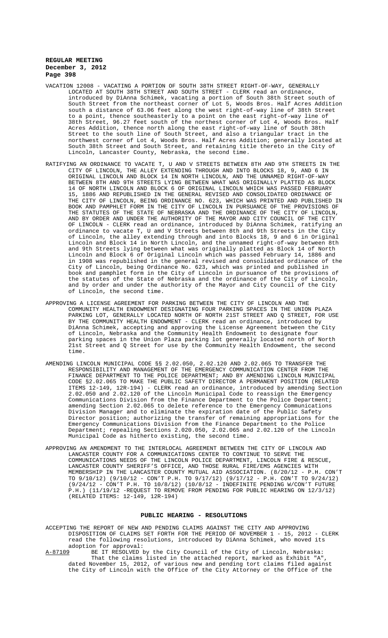- VACATION 12008 VACATING A PORTION OF SOUTH 38TH STREET RIGHT-OF-WAY, GENERALLY LOCATED AT SOUTH 38TH STREET AND SOUTH STREET - CLERK read an ordinance, introduced by DiAnna Schimek, vacating a portion of South 38th Street south of South Street from the northeast corner of Lot 5, Woods Bros. Half Acres Addition south a distance of 63.06 feet along the west right-of-way line of 38th Street to a point, thence southeasterly to a point on the east right-of-way line of 38th Street, 96.27 feet south of the northest corner of Lot 4, Woods Bros. Half Acres Addition, thence north along the east right-of-way line of South 38th Street to the south line of South Street, and also a triangular tract in the northwest corner of Lot 4, Woods Bros. Half Acres Addition; generally located at South 38th Street and South Street, and retaining title thereto in the City of Lincoln, Lancaster County, Nebraska, the second time.
- RATIFYING AN ORDINANCE TO VACATE T, U AND V STREETS BETWEEN 8TH AND 9TH STREETS IN THE CITY OF LINCOLN, THE ALLEY EXTENDING THROUGH AND INTO BLOCKS 18, 9, AND 6 IN ORIGINAL LINCOLN AND BLOCK 14 IN NORTH LINCOLN, AND THE UNNAMED RIGHT-OF-WAY BETWEEN 8TH AND 9TH STREETS LYING BETWEEN WHAT WAS ORIGINALLY PLATTED AS BLOCK 14 OF NORTH LINCOLN AND BLOCK 6 OF ORIGINAL LINCOLN WHICH WAS PASSED FEBRUARY 15, 1886 AND REPUBLISHED IN THE GENERAL REVISED AND CONSOLIDATED ORDINANCE OF THE CITY OF LINCOLN, BEING ORDINANCE NO. 623, WHICH WAS PRINTED AND PUBLISHED IN BOOK AND PAMPHLET FORM IN THE CITY OF LINCOLN IN PURSUANCE OF THE PROVISIONS OF THE STATUTES OF THE STATE OF NEBRASKA AND THE ORDINANCE OF THE CITY OF LINCOLN, AND BY ORDER AND UNDER THE AUTHORITY OF THE MAYOR AND CITY COUNCIL OF THE CITY OF LINCOLN - CLERK read an ordinance, introduced by DiAnna Schimek, ratifying an ordinance to vacate T, U amd V Streets between 8th and 9th Streets in the City of Lincoln, the alley extending through and into Blocks 18, 9 and 6 in Original Lincoln and Block 14 in North Lincoln, and the unnamed right-of-way between 8th and 9th Streets lying between what was originally platted as Block 14 of North Lincoln and Block 6 of Original Lincoln which was passed February 14, 1886 and in 1908 was republished in the general revised and consolidated ordinance of the City of Lincoln, being Ordinance No. 623, which was printed and published in book and pamphlet form in the City of Lincoln in pursuance of the provisions of the statutes of the State of Nebraska and the ordinance of the City of Lincoln, and by order and under the authority of the Mayor and City Council of the City of Lincoln, the second time.
- APPROVING A LICENSE AGREEMENT FOR PARKING BETWEEN THE CITY OF LINCOLN AND THE COMMUNITY HEALTH ENDOWMENT DESIGNATING FOUR PARKING SPACES IN THE UNION PLAZA PARKING LOT, GENERALLY LOCATED NORTH OF NORTH 21ST STREET AND Q STREET, FOR USE BY THE COMMUNITY HEALTH ENDOWMENT - CLERK read an ordinance, introduced by DiAnna Schimek, accepting and approving the License Agreement between the City of Lincoln, Nebraska and the Community Health Endowment to designate four parking spaces in the Union Plaza parking lot generally located north of North 21st Street and Q Street for use by the Community Health Endowment, the second time.
- AMENDING LINCOLN MUNICIPAL CODE §§ 2.02.050, 2.02.120 AND 2.02.065 TO TRANSFER THE RESPONSIBILITY AND MANAGEMENT OF THE EMERGENCY COMMUNICATION CENTER FROM THE FINANCE DEPARTMENT TO THE POLICE DEPARTMENT; AND BY AMENDING LINCOLN MUNICIPAL CODE §2.02.065 TO MAKE THE PUBLIC SAFETY DIRECTOR A PERMANENT POSITION (RELATED ITEMS 12-149, 12R-194) - CLERK read an ordinance, introduced by amending Section 2.02.050 and 2.02.120 of the Lincoln Municipal Code to reassign the Emergency Communications Division from the Finance Department to the Police Department; amending Section 2.02.065 to delete reference to the Emergency Communications Division Manager and to eliminate the expiration date of the Public Safety Director position; authorizing the transfer of remaining appropriations for the Emergency Communications Division from the Finance Department to the Police Department; repealing Sections 2.020.050, 2.02.065 and 2.02.120 of the Lincoln Municipal Code as hitherto existing, the second time.
- APPROVING AN AMENDMENT TO THE INTERLOCAL AGREEMENT BETWEEN THE CITY OF LINCOLN AND LANCASTER COUNTY FOR A COMMUNICATIONS CENTER TO CONTINUE TO SERVE THE COMMUNICATIONS NEEDS OF THE LINCOLN POLICE DEPARTMENT, LINCOLN FIRE & RESCUE, LANCASTER COUNTY SHERIFF'S OFFICE, AND THOSE RURAL FIRE/EMS AGENCIES WITH MEMBERSHIP IN THE LANCASTER COUNTY MUTUAL AID ASSOCIATION. (8/20/12 - P.H. CON'T TO 9/10/12) (9/10/12 - CON'T P.H. TO 9/17/12) (9/17/12 - P.H. CON'T TO 9/24/12) (9/24/12 - CON'T P.H. TO 10/8/12) (10/8/12 - INDEFINITE PENDING W/CON'T FUTURE P.H.) (11/19/12 -REQUEST TO REMOVE FROM PENDING FOR PUBLIC HEARING ON 12/3/12) (RELATED ITEMS: 12-149, 12R-194)

### **PUBLIC HEARING - RESOLUTIONS**

ACCEPTING THE REPORT OF NEW AND PENDING CLAIMS AGAINST THE CITY AND APPROVING DISPOSITION OF CLAIMS SET FORTH FOR THE PERIOD OF NOVEMBER 1 - 15, 2012 - CLERK read the following resolutions, introduced by DiAnna Schimek, who moved its adoption for approval:<br><u>A-87109</u> BE IT RESOLVED b

BE IT RESOLVED by the City Council of the City of Lincoln, Nebraska: That the claims listed in the attached report, marked as Exhibit "A", dated November 15, 2012, of various new and pending tort claims filed against the City of Lincoln with the Office of the City Attorney or the Office of the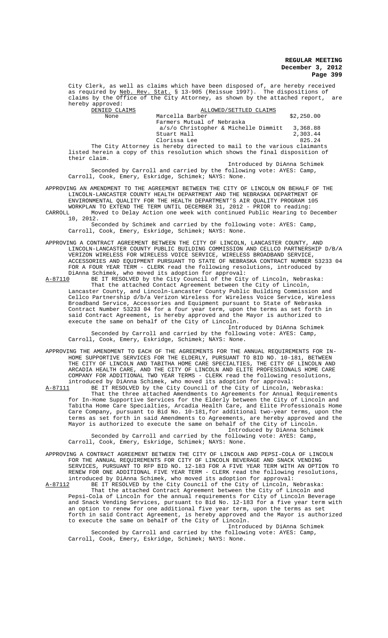City Clerk, as well as claims which have been disposed of, are hereby received<br>as required by Neb. Rev. Stat. § 13-905 (Reissue 1997). The dispositions of as required by <u>Neb. Rev. Stat.</u> § 13-905 (Reissue 1997). The dispositions of claims by the Office of the City Attorney, as shown by the attached report, are hereby approved:

| DENIED CLAIMS |                                                                       | ALLOWED/SETTLED CLAIMS               |  |            |
|---------------|-----------------------------------------------------------------------|--------------------------------------|--|------------|
| None          | Marcella Barber                                                       |                                      |  | \$2,250.00 |
|               |                                                                       | Farmers Mutual of Nebraska           |  |            |
|               |                                                                       | a/s/o Christopher & Michelle Dimmitt |  | 3,368.88   |
|               | Stuart Hall                                                           |                                      |  | 2,303.44   |
|               | Clorissa Lee                                                          |                                      |  | 825.24     |
|               | The City Attorney is hereby directed to mail to the various claimants |                                      |  |            |

listed herein a copy of this resolution which shows the final disposition of their claim. Introduced by DiAnna Schimek

Seconded by Carroll and carried by the following vote: AYES: Camp, Carroll, Cook, Emery, Eskridge, Schimek; NAYS: None.

APPROVING AN AMENDMENT TO THE AGREEMENT BETWEEN THE CITY OF LINCOLN ON BEHALF OF THE LINCOLN-LANCASTER COUNTY HEALTH DEPARTMENT AND THE NEBRASKA DEPARTMENT OF ENVIRONMENTAL QUALITY FOR THE HEALTH DEPARTMENT'S AIR QUALITY PROGRAM 105 WORKPLAN TO EXTEND THE TERM UNTIL DECEMBER 31, 2012 - PRIOR to reading: CARROLL Moved to Delay Action one week with continued Public Hearing to December

10, 2012. Seconded by Schimek and carried by the following vote: AYES: Camp, Carroll, Cook, Emery, Eskridge, Schimek; NAYS: None.

- APPROVING A CONTRACT AGREEMENT BETWEEN THE CITY OF LINCOLN, LANCASTER COUNTY, AND LINCOLN-LANCASTER COUNTY PUBLIC BUILDING COMMISSION AND CELLCO PARTNERSHIP D/B/A VERIZON WIRELESS FOR WIRELESS VOICE SERVICE, WIRELESS BROADBAND SERVICE, ACCESSORIES AND EQUIPMENT PURSUANT TO STATE OF NEBRASKA CONTRACT NUMBER 53233 04 FOR A FOUR YEAR TERM - CLERK read the following resolutions, introduced by DiAnna Schimek, who moved its adoption for approval:<br>A-87110 BE IT RESOLVED by the City Council of the City
- A-87110 BE IT RESOLVED by the City Council of the City of Lincoln, Nebraska: That the attached Contact Agreement between the City of Lincoln, Lancaster County, and Lincoln-Lancaster County Public Building Commission and Cellco Partnership d/b/a Verizon Wireless for Wireless Voice Service, Wireless Broadband Service, Accessories and Equipment pursuant to State of Nebraska Contract Number 53233 04 for a four year term, upon the terms as set forth in said Contract Agreement, is hereby approved and the Mayor is authorized to execute the same on behalf of the City of Lincoln.

Introduced by DiAnna Schimek Seconded by Carroll and carried by the following vote: AYES: Camp, Carroll, Cook, Emery, Eskridge, Schimek; NAYS: None.

APPROVING THE AMENDMENT TO EACH OF THE AGREEMENTS FOR THE ANNUAL REQUIREMENTS FOR IN-HOME SUPPORTIVE SERVICES FOR THE ELDERLY, PURSUANT TO BID NO. 10-181, BETWEEN THE CITY OF LINCOLN AND TABITHA HOME CARE SPECIALTIES, THE CITY OF LINCOLN AND ARCADIA HEALTH CARE, AND THE CITY OF LINCOLN AND ELITE PROFESSIONALS HOME CARE COMPANY FOR ADDITIONAL TWO YEAR TERMS - CLERK read the following resolutions, introduced by DiAnna Schimek, who moved its adoption for approval:

A-87111 BE IT RESOLVED by the City Council of the City of Lincoln, Nebraska: That the three attached Amendments to Agreements for Annual Requirements for In-Home Supportive Services for the Elderly between the City of Lincoln and Tabitha Home Care Specialties, Arcadia Health Care, and Elite Professionals Home Care Company, pursuant to Bid No. 10-181,for additional two-year terms, upon the terms as set forth in said Amendments to Agreements, are hereby approved and the Mayor is authorized to execute the same on behalf of the City of Lincoln. Introduced by DiAnna Schimek

Seconded by Carroll and carried by the following vote: AYES: Camp, Carroll, Cook, Emery, Eskridge, Schimek; NAYS: None.

APPROVING A CONTRACT AGREEMENT BETWEEN THE CITY OF LINCOLN AND PEPSI-COLA OF LINCOLN FOR THE ANNUAL REQUIREMENTS FOR CITY OF LINCOLN BEVERAGE AND SNACK VENDING SERVICES, PURSUANT TO RFP BID NO. 12-183 FOR A FIVE YEAR TERM WITH AN OPTION TO RENEW FOR ONE ADDITIONAL FIVE YEAR TERM - CLERK read the following resolutions, introduced by DiAnna Schimek, who moved its adoption for approval:<br>A-87112 BE IT RESOLVED by the City Council of the City of Lincoln, 1

BE IT RESOLVED by the City Council of the City of Lincoln, Nebraska: That the attached Contract Agreement between the City of Lincoln and Pepsi-Cola of Lincoln for the annual requirements for City of Lincoln Beverage and Snack Vending Services, pursuant to Bid No. 12-183 for a five year term with an option to renew for one additional five year term, upon the terms as set forth in said Contract Agreement, is hereby approved and the Mayor is authorized to execute the same on behalf of the City of Lincoln.

Introduced by DiAnna Schimek Seconded by Carroll and carried by the following vote: AYES: Camp, Carroll, Cook, Emery, Eskridge, Schimek; NAYS: None.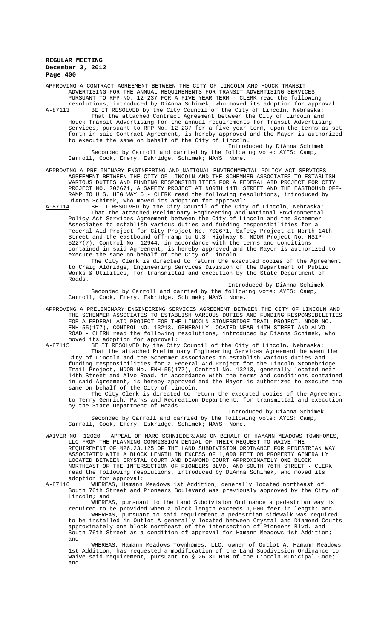APPROVING A CONTRACT AGREEMENT BETWEEN THE CITY OF LINCOLN AND HOUCK TRANSIT ADVERTISING FOR THE ANNUAL REQUIREMENTS FOR TRANSIT ADVERTISING SERVICES, PURSUANT TO RFP NO. 12-237 FOR A FIVE YEAR TERM - CLERK read the following resolutions, introduced by DiAnna Schimek, who moved its adoption for approval:<br>A-87113 BE IT RESOLVED by the City Council of the City of Lincoln, Nebraska:

A-87113 BE IT RESOLVED by the City Council of the City of Lincoln, Nebraska: That the attached Contract Agreement between the City of Lincoln and Houck Transit Advertising for the annual requirements for Transit Advertising Services, pursuant to RFP No. 12-237 for a five year term, upon the terms as set forth in said Contract Agreement, is hereby approved and the Mayor is authorized to execute the same on behalf of the City of Lincoln.

Introduced by DiAnna Schimek Seconded by Carroll and carried by the following vote: AYES: Camp, Carroll, Cook, Emery, Eskridge, Schimek; NAYS: None.

APPROVING A PRELIMINARY ENGINEERING AND NATIONAL ENVIRONMENTAL POLICY ACT SERVICES AGREEMENT BETWEEN THE CITY OF LINCOLN AND THE SCHEMMER ASSOCIATES TO ESTABLISH VARIOUS DUTIES AND FUNDING RESPONSIBILITIES FOR A FEDERAL AID PROJECT FOR CITY PROJECT NO. 702671, A SAFETY PROJECT AT NORTH 14TH STREET AND THE EASTBOUND OFF-RAMP TO U.S. HIGHWAY 6 - CLERK read the following resolutions, introduced by DiAnna Schimek, who moved its adoption for approval:

A-87114 BE IT RESOLVED by the City Council of the City of Lincoln, Nebraska: That the attached Preliminary Engineering and National Environmental Policy Act Services Agreement between the City of Lincoln and the Schemmer Associates to establish various duties and funding responsibilities for a Federal Aid Project for City Project No. 702671, Safety Project at North 14th Street and the eastbound off-ramp to U.S. Highway 6, NDOR Project No. HSIP-5227(7), Control No. 12944, in accordance with the terms and conditions contained in said Agreement, is hereby approved and the Mayor is authorized to execute the same on behalf of the City of Lincoln.

The City Clerk is directed to return the executed copies of the Agreement to Craig Aldridge, Engineering Services Division of the Department of Public Works & Utilities, for transmittal and execution by the State Department of Roads.

Introduced by DiAnna Schimek Seconded by Carroll and carried by the following vote: AYES: Camp, Carroll, Cook, Emery, Eskridge, Schimek; NAYS: None.

APPROVING A PRELIMINARY ENGINEERING SERVICES AGREEMENT BETWEEN THE CITY OF LINCOLN AND THE SCHEMMER ASSOCIATES TO ESTABLISH VARIOUS DUTIES AND FUNDING RESPONSIBILITIES FOR A FEDERAL AID PROJECT FOR THE LINCOLN STONEBRIDGE TRAIL PROJECT, NDOR NO. ENH-55(177), CONTROL NO. 13213, GENERALLY LOCATED NEAR 14TH STREET AND ALVO ROAD - CLERK read the following resolutions, introduced by DiAnna Schimek, who moved its adoption for approval:<br>A-87115 BE IT RESOLVED by the City

BE IT RESOLVED by the City Council of the City of Lincoln, Nebraska: That the attached Preliminary Engineering Services Agreement between the City of Lincoln and the Schemmer Associates to establish various duties and funding responsibilities for a Federal Aid Project for the Lincoln Stonebridge Trail Project, NDOR No. ENH-55(177), Control No. 13213, generally located near 14th Street and Alvo Road, in accordance with the terms and conditions contained in said Agreement, is hereby approved and the Mayor is authorized to execute the same on behalf of the City of Lincoln.

The City Clerk is directed to return the executed copies of the Agreement to Terry Genrich, Parks and Recreation Department, for transmittal and execution by the State Department of Roads.

Introduced by DiAnna Schimek Seconded by Carroll and carried by the following vote: AYES: Camp, Carroll, Cook, Emery, Eskridge, Schimek; NAYS: None.

WAIVER NO. 12020 - APPEAL OF MARC SCHNIEDERJANS ON BEHALF OF HAMANN MEADOWS TOWNHOMES, LLC FROM THE PLANNING COMMISSION DENIAL OF THEIR REQUEST TO WAIVE THE REQUIREMENT OF §26.23.125 OF THE LAND SUBDIVISION ORDINANCE FOR PEDESTRIAN WAY ASSOCIATED WITH A BLOCK LENGTH IN EXCESS OF 1,000 FEET ON PROPERTY GENERALLY LOCATED BETWEEN CRYSTAL COURT AND DIAMOND COURT APPROXIMATELY ONE BLOCK NORTHEAST OF THE INTERSECTION OF PIONEERS BLVD. AND SOUTH 76TH STREET - CLERK read the following resolutions, introduced by DiAnna Schimek, who moved its adoption for approval:<br>A-87116 WHEREAS, Hamann

WHEREAS, Hamann Meadows 1st Addition, generally located northeast of South 76th Street and Pioneers Boulevard was previously approved by the City of Lincoln; and

WHEREAS, pursuant to the Land Subdivision Ordinance a pedestrian way is required to be provided when a block length exceeds 1,000 feet in length; and WHEREAS, pursuant to said requirement a pedestrian sidewalk was required to be installed in Outlot A generally located between Crystal and Diamond Courts approximately one block northeast of the intersection of Pioneers Blvd. and South 76th Street as a condition of approval for Hamann Meadows 1st Addition; and

WHEREAS, Hamann Meadows Townhomes, LLC, owner of Outlot A, Hamann Meadows 1st Addition, has requested a modification of the Land Subdivision Ordinance to waive said requirement, pursuant to § 26.31.010 of the Lincoln Municipal Code; and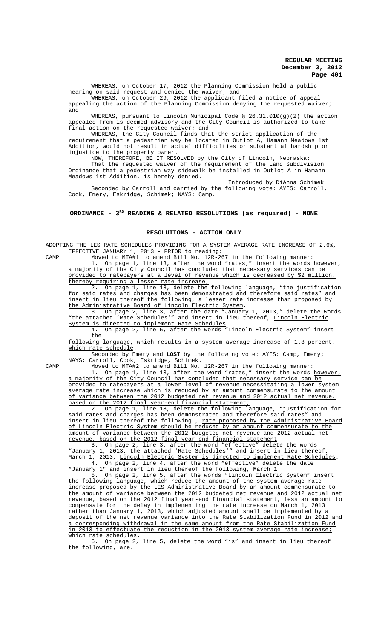WHEREAS, on October 17, 2012 the Planning Commission held a public hearing on said request and denied the waiver; and

WHEREAS, on October 29, 2012 the applicant filed a notice of appeal appealing the action of the Planning Commission denying the requested waiver; and

WHEREAS, pursuant to Lincoln Municipal Code § 26.31.010(g)(2) the action appealed from is deemed advisory and the City Council is authorized to take final action on the requested waiver; and

WHEREAS, the City Council finds that the strict application of the requirement that a pedestrian way be located in Outlot A, Hamann Meadows 1st Addition, would not result in actual difficulties or substantial hardship or injustice to the property owner.

NOW, THEREFORE, BE IT RESOLVED by the City of Lincoln, Nebraska: That the requested waiver of the requirement of the Land Subdivision Ordinance that a pedestrian way sidewalk be installed in Outlot A in Hamann Meadows 1st Addition, is hereby denied.

Introduced by DiAnna Schimek Seconded by Carroll and carried by the following vote: AYES: Carroll, Cook, Emery, Eskridge, Schimek; NAYS: Camp.

# ORDINANCE - 3<sup>RD</sup> READING & RELATED RESOLUTIONS (as required) - NONE

#### **RESOLUTIONS - ACTION ONLY**

ADOPTING THE LES RATE SCHEDULES PROVIDING FOR A SYSTEM AVERAGE RATE INCREASE OF 2.6%, EFFECTIVE JANUARY 1, 2013 - PRIOR to reading:

CAMP Moved to MTA#1 to amend Bill No. 12R-267 in the following manner: 1. On page 1, line 13, after the word "rates;" insert the words however, a majority of the City Council has concluded that necessary services can be provided to ratepayers at a level of revenue which is decreased by \$2 million, thereby requiring a lesser rate increase;

2. On page 1, line 18, delete the following language, "the justification for said rates and charges has been demonstrated and therefore said rates" and insert in lieu thereof the following, a lesser rate increase than proposed by the Administrative Board of Lincoln Electric System.

3. On page 2, line 3, after the date "January 1, 2013," delete the words "the attached 'Rate Schedules'" and insert in lieu thereof, Lincoln Electric System is directed to implement Rate Schedules.

4. On page 2, line 5, after the words "Lincoln Electric System" insert the

following language, which results in a system average increase of 1.8 percent, which rate schedule.

Seconded by Emery and **LOST** by the following vote: AYES: Camp, Emery; NAYS: Carroll, Cook, Eskridge, Schimek.

CAMP Moved to MTA#2 to amend Bill No. 12R-267 in the following manner: 1. On page 1, line 13, after the word "rates;" insert the words however, a majority of the City Council has concluded that necessary service can be provided to ratepayers at a lower level of revenue necessitating a lower system average rate increase which is reduced by an amount commensurate to the amount of variance between the 2012 budgeted net revenue and 2012 actual net revenue, based on the 2012 final year-end financial statement;

2. On page 1, line 18, delete the following language, "justification for ates and charges has been demonstrated and therefore said rates" and said rates and charges has been demonstrated and therefore said rates" insert in lieu thereof the following , <u>rate proposed by the Administrative Board</u> of Lincoln Electric System should be reduced by an amount commensurate to the amount of variance between the 2012 budgeted net revenue and 2012 actual net revenue, based on the 2012 final year-end financial statement.

3. On page 2, line 3, after the word "effective" delete the words "January 1, 2013, the attached 'Rate Schedules'" and insert in lieu thereof, March 1, 2013, Lincoln Electric System is directed to implement Rate Schedules. 4. On page 2, line 4, after the word "effective" delete the date

"January 1" and insert in lieu thereof the following, March 1. 5. On page 2, line 5, after the words "Lincoln Electric System" insert the following language, which reduce the amount of the system average rate

increase proposed by the LES Administrative Board by an amount commensurate to the amount of variance between the 2012 budgeted net revenue and 2012 actual net revenue, based on the 2012 final year-end financial statement, less an amount to compensate for the delay in implementing the rate increase on March 1, 2013 rather than January 1, 2013, which adjusted amount shall be implemented by a deposit of the net revenue variance into the Rate Stabilization Fund in 2012 and a corresponding withdrawal in the same amount from the Rate Stabilization Fund in 2013 to effectuate the reduction in the 2013 system average rate increase; which rate schedules.

On page 2, line 5, delete the word "is" and insert in lieu thereof the following, are.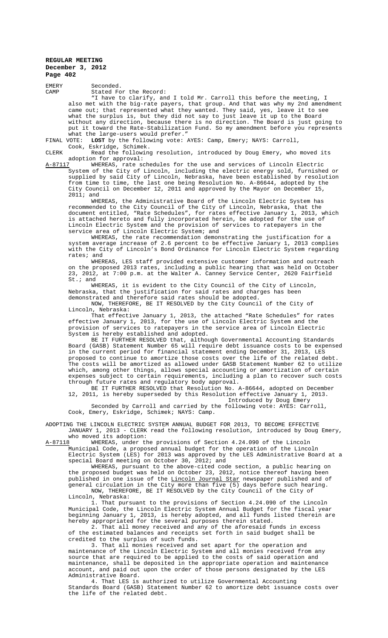EMERY Seconded.<br>CAMP Stated Fo Stated For the Record:

"I have to clarify, and I told Mr. Carroll this before the meeting, I also met with the big-rate payers, that group. And that was why my 2nd amendment came out; that represented what they wanted. They said, yes, leave it to see what the surplus is, but they did not say to just leave it up to the Board without any direction, because there is no direction. The Board is just going to put it toward the Rate-Stabilization Fund. So my amendment before you represents what the large-users would prefer.'<br>FINAL VOTE: LOST by the following vote:

LOST by the following vote: AYES: Camp, Emery; NAYS: Carroll, Cook, Eskridge, Schimek.

CLERK Read the following resolution, introduced by Doug Emery, who moved its adoption for approval:<br>A-87117 WHEREAS, rate so

A-87117 MHEREAS, rate schedules for the use and services of Lincoln Electric System of the City of Lincoln, including the electric energy sold, furnished or supplied by said City of Lincoln, Nebraska, have been established by resolution from time to time, the last one being Resolution No. A-86644, adopted by the City Council on December 12, 2011 and approved by the Mayor on December 15, 2011; and

WHEREAS, the Administrative Board of the Lincoln Electric System has recommended to the City Council of the City of Lincoln, Nebraska, that the document entitled, "Rate Schedules", for rates effective January 1, 2013, which is attached hereto and fully incorporated herein, be adopted for the use of Lincoln Electric System and the provision of services to ratepayers in the service area of Lincoln Electric System; and

WHEREAS, the rate recommendation demonstrating the justification for a system average increase of 2.6 percent to be effective January 1, 2013 complies with the City of Lincoln's Bond Ordinance for Lincoln Electric System regarding rates; and

WHEREAS, LES staff provided extensive customer information and outreach on the proposed 2013 rates, including a public hearing that was held on October 23, 2012, at 7:00 p.m. at the Walter A. Canney Service Center, 2620 Fairfield St.; and

WHEREAS, it is evident to the City Council of the City of Lincoln, Nebraska, that the justification for said rates and charges has been demonstrated and therefore said rates should be adopted.

NOW, THEREFORE, BE IT RESOLVED by the City Council of the City of Lincoln, Nebraska:

That effective January 1, 2013, the attached "Rate Schedules" for rates effective January 1, 2013, for the use of Lincoln Electric System and the provision of services to ratepayers in the service area of Lincoln Electric System is hereby established and adopted.

BE IT FURTHER RESOLVED that, although Governmental Accounting Standards Board (GASB) Statement Number 65 will require debt issuance costs to be expensed in the current period for financial statement ending December 31, 2013, LES proposed to continue to amortize those costs over the life of the related debt. The costs will be amortized as allowed under GASB Statement Number 62 to utilize which, among other things, allows special accounting or amortization of certain expenses subject to certain requirements, including a plan to recover such costs through future rates and regulatory body approval.

BE IT FURTHER RESOLVED that Resolution No. A-86644, adopted on December 12, 2011, is hereby superseded by this Resolution effective January 1, 2013. Introduced by Doug Emery

Seconded by Carroll and carried by the following vote: AYES: Carroll, Cook, Emery, Eskridge, Schimek; NAYS: Camp.

ADOPTING THE LINCOLN ELECTRIC SYSTEM ANNUAL BUDGET FOR 2013, TO BECOME EFFECTIVE JANUARY 1, 2013 - CLERK read the following resolution, introduced by Doug Emery, who moved its adoption:

A-87118 WHEREAS, under the provisions of Section 4.24.090 of the Lincoln Municipal Code, a proposed annual budget for the operation of the Lincoln

Electric System (LES) for 2013 was approved by the LES Administrative Board at a special Board meeting on October 30, 2012; and

WHEREAS, pursuant to the above-cited code section, a public hearing on the proposed budget was held on October 23, 2012, notice thereof having been published in one issue of the Lincoln Journal Star newspaper published and of general circulation in the City more than five (5) days before such hearing. NOW, THEREFORE, BE IT RESOLVED by the City Council of the City of Lincoln, Nebraska:

1. That pursuant to the provisions of Section 4.24.090 of the Lincoln Municipal Code, the Lincoln Electric System Annual Budget for the fiscal year beginning January 1, 2013, is hereby adopted, and all funds listed therein are hereby appropriated for the several purposes therein stated.

That all money received and any of the aforesaid funds in excess of the estimated balances and receipts set forth in said budget shall be credited to the surplus of such funds.

3. That all monies received and set apart for the operation and maintenance of the Lincoln Electric System and all monies received from any source that are required to be applied to the costs of said operation and maintenance, shall be deposited in the appropriate operation and maintenance account, and paid out upon the order of those persons designated by the LES Administrative Board.

4. That LES is authorized to utilize Governmental Accounting Standards Board (GASB) Statement Number 62 to amortize debt issuance costs over the life of the related debt.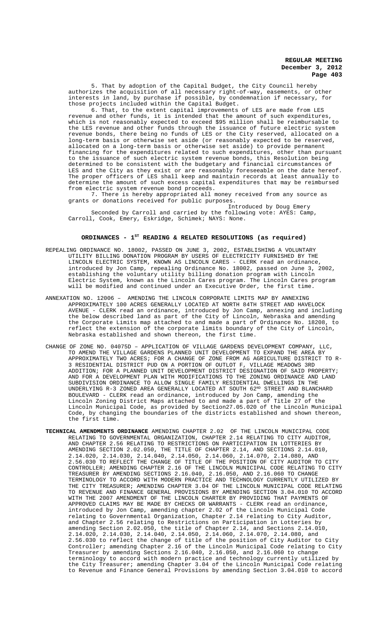5. That by adoption of the Capital Budget, the City Council hereby authorizes the acquisition of all necessary right-of-way, easements, or other interests in land, by purchase if possible, by condemnation if necessary, for those projects included within the Capital Budget.

to the extent capital improvements of LES are made from LES revenue and other funds, it is intended that the amount of such expenditures, which is not reasonably expected to exceed \$95 million shall be reimbursable to the LES revenue and other funds through the issuance of future electric system revenue bonds, there being no funds of LES or the City reserved, allocated on a long-term basis or otherwise set aside (or reasonably expected to be reserved, allocated on a long-term basis or otherwise set aside) to provide permanent financing for the expenditures related to such expenditures, other than pursuant to the issuance of such electric system revenue bonds, this Resolution being determined to be consistent with the budgetary and financial circumstances of LES and the City as they exist or are reasonably foreseeable on the date hereof. The proper officers of LES shall keep and maintain records at least annually to determine the amount of such excess capital expenditures that may be reimbursed from electric system revenue bond proceeds.

7. There is hereby appropriated all money received from any source as grants or donations received for public purposes.

Introduced by Doug Emery Seconded by Carroll and carried by the following vote: AYES: Camp, Carroll, Cook, Emery, Eskridge, Schimek; NAYS: None.

# ORDINANCES - 1<sup>st</sup> READING & RELATED RESOLUTIONS (as required)

- REPEALING ORDINANCE NO. 18002, PASSED ON JUNE 3, 2002, ESTABLISHING A VOLUNTARY UTILITY BILLING DONATION PROGRAM BY USERS OF ELECTRICITY FURNISHED BY THE LINCOLN ELECTRIC SYSTEM, KNOWN AS LINCOLN CARES - CLERK read an ordinance, introduced by Jon Camp, repealing Ordinance No. 18002, passed on June 3, 2002, establishing the voluntary utility billing donation program with Lincoln Electric System, known as the Lincoln Cares program. The Lincoln Cares program will be modified and continued under an Executive Order, the first time.
- ANNEXATION NO. 12006 AMENDING THE LINCOLN CORPORATE LIMITS MAP BY ANNEXING APPROXIMATELY 100 ACRES GENERALLY LOCATED AT NORTH 84TH STREET AND HAVELOCK AVENUE - CLERK read an ordinance, introduced by Jon Camp, annexing and including the below described land as part of the City of Lincoln, Nebraska and amending the Corporate Limits map attached to and made a part of Ordinance No. 18208, to reflect the extension of the corporate limits boundary of the City of Lincoln, Nebraska established and shown thereon, the first time.
- CHANGE OF ZONE NO. 04075D APPLICATION OF VILLAGE GARDENS DEVELOPMENT COMPANY, LLC, TO AMEND THE VILLAGE GARDENS PLANNED UNIT DEVELOPMENT TO EXPAND THE AREA BY APPROXIMATELY TWO ACRES; FOR A CHANGE OF ZONE FROM AG AGRICULTURE DISTRICT TO R-3 RESIDENTIAL DISTRICT PUD ON A PORTION OF OUTLOT F, VILLAGE MEADOWS 3RD ADDITION; FOR A PLANNED UNIT DEVELOPMENT DISTRICT DESIGNATION OF SAID PROPERTY; AND FOR A DEVELOPMENT PLAN WITH MODIFICATIONS TO THE ZONING ORDINANCE AND LAND SUBDIVISION ORDINANCE TO ALLOW SINGLE FAMILY RESIDENTIAL DWELLINGS IN THE UNDERLYING R-3 ZONED AREA GENERALLY LOCATED AT SOUTH  $62^{\text{\tiny{ND}}}$  STREET AND BLANCHARD BOULEVARD - CLERK read an ordinance, introduced by Jon Camp, amending the Lincoln Zoning District Maps attached to and made a part of Title 27 of the Lincoln Municipal Code, as provided by Section27.05.020 of the Lincoln Municipal Code, by changing the boundaries of the districts established and shown thereon, the first time.
- **TECHNICAL AMENDMENTS ORDINANCE** AMENDING CHAPTER 2.02 OF THE LINCOLN MUNICIPAL CODE RELATING TO GOVERNMENTAL ORGANIZATION, CHAPTER 2.14 RELATING TO CITY AUDITOR, AND CHAPTER 2.56 RELATING TO RESTRICTIONS ON PARTICIPATION IN LOTTERIES BY AMENDING SECTION 2.02.050, THE TITLE OF CHAPTER 2.14, AND SECTIONS 2.14.010, 2.14.020, 2.14.030, 2.14.040, 2.14.050, 2.14.060, 2.14.070, 2.14.080, AND 2.56.030 TO REFLECT THE CHANGE OF TITLE OF THE POSITION OF CITY AUDITOR TO CITY CONTROLLER; AMENDING CHAPTER 2.16 OF THE LINCOLN MUNICIPAL CODE RELATING TO CITY TREASURER BY AMENDING SECTIONS 2.16.040, 2.16.050, AND 2.16.060 TO CHANGE TERMINOLOGY TO ACCORD WITH MODERN PRACTICE AND TECHNOLOGY CURRENTLY UTILIZED BY THE CITY TREASURER; AMENDING CHAPTER 3.04 OF THE LINCOLN MUNICIPAL CODE RELATING TO REVENUE AND FINANCE GENERAL PROVISIONS BY AMENDING SECTION 3.04.010 TO ACCORD WITH THE 2007 AMENDMENT OF THE LINCOLN CHARTER BY PROVIDING THAT PAYMENTS OF APPROVED CLAIMS MAY BE MADE BY CHECKS OR WARRANTS - CLERK read an ordinance, introduced by Jon Camp, amending chapter 2.02 of the Lincoln Municipal Code relating to Governmental Organization, Chapter 2.14 relating to City Auditor, and Chapter 2.56 relating to Restrictions on Participation in Lotteries by amending Section 2.02.050, the title of Chapter 2.14, and Sections 2.14.010, 2.14.020, 2.14.030, 2.14.040, 2.14.050, 2.14.060, 2.14.070, 2.14.080, and 2.56.030 to reflect the change of title of the position of City Auditor to City Controller; amending Chapter 2.16 of the Lincoln Municipal Code relating to City Treasurer by amending Sections 2.16.040, 2.16.050, and 2.16.060 to change terminology to accord with modern practice and technology currently utilized by the City Treasurer; amending Chapter 3.04 of the Lincoln Municipal Code relating to Revenue and Finance General Provisions by amending Section 3.04.010 to accord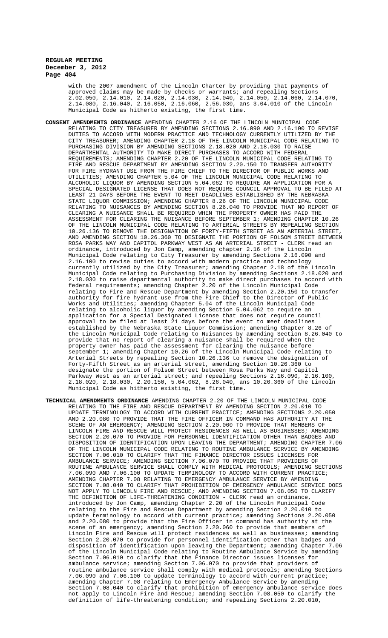with the 2007 amendment of the Lincoln Charter by providing that payments of approved claims may be made by checks or warrants; and repealing Sections 2.02.050, 2.14.010, 2.14.020, 2.14.030, 2.14.040, 2.14.050, 2.14.060, 2.14.070, 2.14.080, 2.16.040, 2.16.050, 2.16.060, 2.56.030, ans 3.04.010 of the Lincoln Municipal Code as hitherto existing, the first time.

- **CONSENT AMENDMENTS ORDINANCE** AMENDING CHAPTER 2.16 OF THE LINCOLN MUNICIPAL CODE RELATING TO CITY TREASURER BY AMENDING SECTIONS 2.16.090 AND 2.16.100 TO REVISE DUTIES TO ACCORD WITH MODERN PRACTICE AND TECHNOLOGY CURRENTLY UTILIZED BY THE CITY TREASURER; AMENDING CHAPTER 2.18 OF THE LINCOLN MUNICIPAL CODE RELATING TO PURCHASING DIVISION BY AMENDING SECTIONS 2.18.020 AND 2.18.030 TO RAISE DEPARTMENTAL AUTHORITY TO MAKE DIRECT PURCHASES TO ACCORD WITH FEDERAL REQUIREMENTS; AMENDING CHAPTER 2.20 OF THE LINCOLN MUNICIPAL CODE RELATING TO FIRE AND RESCUE DEPARTMENT BY AMENDING SECTION 2.20.150 TO TRANSFER AUTHORITY FOR FIRE HYDRANT USE FROM THE FIRE CHIEF TO THE DIRECTOR OF PUBLIC WORKS AND UTILITIES; AMENDING CHAPTER 5.04 OF THE LINCOLN MUNICIPAL CODE RELATING TO ALCOHOLIC LIQUOR BY AMENDING SECTION 5.04.062 TO REQUIRE AN APPLICATION FOR A SPECIAL DESIGNATED LICENSE THAT DOES NOT REQUIRE COUNCIL APPROVAL TO BE FILED AT LEAST 21 DAYS BEFORE THE EVENT TO MEET DEADLINES ESTABLISHED BY THE NEBRASKA STATE LIQUOR COMMISSION; AMENDING CHAPTER 8.26 OF THE LINCOLN MUNICIPAL CODE RELATING TO NUISANCES BY AMENDING SECTION 8.26.040 TO PROVIDE THAT NO REPORT OF CLEARING A NUISANCE SHALL BE REQUIRED WHEN THE PROPERTY OWNER HAS PAID THE ASSESSMENT FOR CLEARING THE NUISANCE BEFORE SEPTEMBER 1; AMENDING CHAPTER 10.26 OF THE LINCOLN MUNICIPAL CODE RELATING TO ARTERIAL STREETS BY REPEALING SECTION 10.26.136 TO REMOVE THE DESIGNATION OF FORTY-FIFTH STREET AS AN ARTERIAL STREET, AND AMENDING SECTION 10.26.360 TO DESIGNATE THE PORTION OF FOLSOM STREET BETWEEN ROSA PARKS WAY AND CAPITOL PARKWAY WEST AS AN ARTERIAL STREET - CLERK read an ordinance, introduced by Jon Camp, amending chapter 2.16 of the Lincoln Municipal Code relating to City Treasurer by amending Sections 2.16.090 and 2.16.100 to revise duties to accord with modern practice and technology<br>currently utilized by the City Treasurer; amending Chapter 2.18 of the Lincoln currently utilized by the City Treasurer; amending Chapter 2.18 of the Municipal Code relating to Purchasing Division by amending Sections 2.18.020 and 2.18.030 to raise departmental authority to make direct purchases to accord with federal requirements; amending Chapter 2.20 of the Lincoln Municipal Code relating to Fire and Rescue Department by amending Section 2.20.150 to transfer authority for fire hydrant use from the Fire Chief to the Director of Public Works and Utilities; amending Chapter 5.04 of the Lincoln Municipal Code relating to alcoholic liquor by amending Section 5.04.062 to require an application for a Special Designated License that does not require council approval to be filed at least 21 days before the event to meet deadlines established by the Nebraska State Liquor Commission; amending Chapter 8.26 of the Lincoln Municipal Code relating to Nuisances by amending Section 8.26.040 to provide that no report of clearing a nuisance shall be required when the property owner has paid the assessment for clearing the nuisance before september 1; amending Chapter 10.26 of the Lincoln Municipal Code relating to Arterial Streets by repealing Section 10.26.136 to remove the designation of Forty-Fifth Street as an arterial street, amending Section 10.26.360 to designate the portion of Folsom Street between Rosa Parks Way and Capitol Parkway West as an arterial street; and repealing Sections 2.16.090, 2.16.100, 2.18.020, 2.18.030, 2.20.150, 5.04.062, 8.26.040, ans 10.26.360 of the Lincoln Municipal Code as hitherto existing, the first time.
- **TECHNICAL AMENDMENTS ORDINANCE** AMENDING CHAPTER 2.20 OF THE LINCOLN MUNICIPAL CODE RELATING TO THE FIRE AND RESCUE DEPARTMENT BY AMENDING SECTION 2.20.010 TO UPDATE TERMINOLOGY TO ACCORD WITH CURRENT PRACTICE; AMENDING SECTIONS 2.20.050 AND 2.20.080 TO PROVIDE THAT THE FIRE OFFICER IN COMMAND HAS AUTHORITY AT THE SCENE OF AN EMERGENCY; AMENDING SECTION 2.20.060 TO PROVIDE THAT MEMBERS OF LINCOLN FIRE AND RESCUE WILL PROTECT RESIDENCES AS WELL AS BUSINESSES; AMENDING SECTION 2.20.070 TO PROVIDE FOR PERSONNEL IDENTIFICATION OTHER THAN BADGES AND DISPOSITION OF IDENTIFICATION UPON LEAVING THE DEPARTMENT; AMENDING CHAPTER 7.06 OF THE LINCOLN MUNICIPAL CODE RELATING TO ROUTINE AMBULANCE SERVICE BY AMENDING SECTION 7.06.010 TO CLARIFY THAT THE FINANCE DIRECTOR ISSUES LICENSES FOR AMBULANCE SERVICE; AMENDING SECTION 7.06.070 TO PROVIDE THAT PROVIDERS OF ROUTINE AMBULANCE SERVICE SHALL COMPLY WITH MEDICAL PROTOCOLS; AMENDING SECTIONS 7.06.090 AND 7.06.100 TO UPDATE TERMINOLOGY TO ACCORD WITH CURRENT PRACTICE; AMENDING CHAPTER 7.08 RELATING TO EMERGENCY AMBULANCE SERVICE BY AMENDING SECTION 7.08.040 TO CLARIFY THAT PROHIBITION OF EMERGENCY AMBULANCE SERVICE DOES NOT APPLY TO LINCOLN FIRE AND RESCUE; AND AMENDING SECTION 7.08.050 TO CLARIFY THE DEFINITION OF LIFE-THREATENING CONDITION - CLERK read an ordinance, introduced by Jon Camp, amending Chapter 2.20 of the Lincoln Municipal Code relating to the Fire and Rescue Department by amending Section 2.20.010 to update terminology to accord with current practice; amending Sections 2.20.050 and 2.20.080 to provide that the Fire Officer in command has authority at the scene of an emergency; amending Section 2.20.060 to provide that members of Lincoln Fire and Rescue will protect residences as well as businesses; amending Section 2.20.070 to provide for personnel identification other than badges and disposition of identification upon leaving the Department; amending Chapter 7.06 of the Lincoln Municipal Code relating to Routine Ambulance Service by amending Section 7.06.010 to clarify that the Finance Director issues licenses for ambulance service; amending Section 7.06.070 to provide that providers of routine ambulance service shall comply with medical protocols; amending Sections 7.06.090 and 7.06.100 to update terminology to accord with current practice; amending Chapter 7.08 relating to Emergency Ambulance Service by amending Section 7.08.040 to clarify that prohibition of emergency ambulance service does not apply to Lincoln Fire and Rescue; amending Section 7.08.050 to clarify the definition of life-threatening condition; and repealing Sections 2.20.010,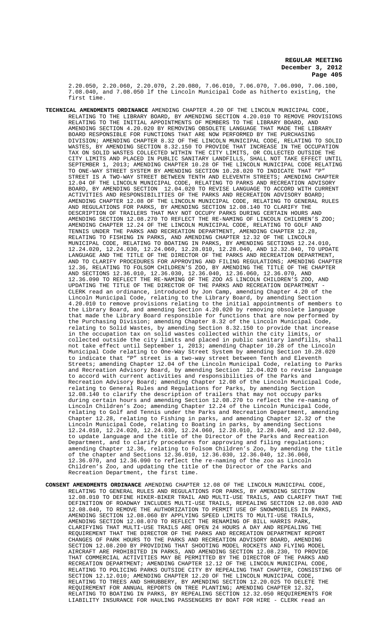2.20.050, 2.20.060, 2.20.070, 2.20.080, 7.06.010, 7.06.070, 7.06.090, 7.06.100, 7.08.040, and 7.08.050 lf the Lincoln Municipal Code as hitherto existing, the first time.

- **TECHNICAL AMENDMENTS ORDINANCE** AMENDING CHAPTER 4.20 OF THE LINCOLN MUNICIPAL CODE, RELATING TO THE LIBRARY BOARD, BY AMENDING SECTION 4.20.010 TO REMOVE PROVISIONS RELATING TO THE INITIAL APPOINTMENTS OF MEMBERS TO THE LIBRARY BOARD, AND AMENDING SECTION 4.20.020 BY REMOVING OBSOLETE LANGUAGE THAT MADE THE LIBRARY BOARD RESPONSIBLE FOR FUNCTIONS THAT ARE NOW PERFORMED BY THE PURCHASING DIVISION; AMENDING CHAPTER 8.32 OF THE LINCOLN MUNICIPAL CODE, RELATING TO SOLID WASTES, BY AMENDING SECTION 8.32.150 TO PROVIDE THAT INCREASE IN THE OCCUPATION TAX ON SOLID WASTES COLLECTED WITHIN THE CITY LIMITS, OR COLLECTED OUTSIDE THE CITY LIMITS AND PLACED IN PUBLIC SANITARY LANDFILLS, SHALL NOT TAKE EFFECT UNTIL SEPTEMBER 1, 2013; AMENDING CHAPTER 10.28 OF THE LINCOLN MUNICIPAL CODE RELATING TO ONE-WAY STREET SYSTEM BY AMENDING SECTION 10.28.020 TO INDICATE THAT "P" STREET IS A TWO-WAY STREET BETWEEN TENTH AND ELEVENTH STREETS; AMENDING CHAPTER 12.04 OF THE LINCOLN MUNICIPAL CODE, RELATING TO PARKS AND RECREATION ADVISORY BOARD, BY AMENDING SECTION 12.04.020 TO REVISE LANGUAGE TO ACCORD WITH CURRENT ACTIVITIES AND RESPONSIBILITIES OF THE PARKS AND RECREATION ADVISORY BOARD; AMENDING CHAPTER 12.08 OF THE LINCOLN MUNICIPAL CODE, RELATING TO GENERAL RULES AND REGULATIONS FOR PARKS, BY AMENDING SECTION 12.08.140 TO CLARIFY THE DESCRIPTION OF TRAILERS THAT MAY NOT OCCUPY PARKS DURING CERTAIN HOURS AND AMENDING SECTION 12.08.270 TO REFLECT THE RE-NAMING OF LINCOLN CHILDREN'S ZOO; AMENDING CHAPTER 12.24 OF THE LINCOLN MUNICIPAL CODE, RELATING TO GOLF AND TENNIS UNDER THE PARKS AND RECREATION DEPARTMENT, AMENDING CHAPTER 12.28, RELATING TO FISHING IN PARKS, AND AMENDING CHAPTER 12.32 OF THE LINCOLN MUNICIPAL CODE, RELATING TO BOATING IN PARKS, BY AMENDING SECTIONS 12.24.010, 12.24.020, 12.24.030, 12.24.060, 12.28.010, 12.28.040, AND 12.32.040, TO UPDATE LANGUAGE AND THE TITLE OF THE DIRECTOR OF THE PARKS AND RECREATION DEPARTMENT, AND TO CLARIFY PROCEDURES FOR APPROVING AND FILING REGULATIONS; AMENDING CHAPTER 12.36, RELATING TO FOLSOM CHILDREN'S ZOO, BY AMENDING THE TITLE OF THE CHAPTER AND SECTIONS 12.36.010, 12.36.030, 12.36.040, 12.36.060, 12.36.070, AND 12.36.090 TO REFLECT THE RE-NAMING OF THE ZOO AS LINCOLN CHILDREN'S ZOO, AND UPDATING THE TITLE OF THE DIRECTOR OF THE PARKS AND RECREATION DEPARTMENT - CLERK read an ordinance, introduced by Jon Camp, amending Chapter 4.20 of the Lincoln Municipal Code, relating to the Library Board, by amending Section 4.20.010 to remove provisions relating to the initial appointments of members to the Library Board, and amending Section 4.20.020 by removing obsolete language that made the Library Board responsible for functions that are now performed by the Purchasing Division; amending Chapter 8.32 of the Lincoln Municipal Code, relating to Solid Wastes, by amending Section 8.32.150 to provide that increase in the occupation tax on solid wastes collected within the city limits, or collected outside the city limits and placed in public sanitary landfills, shall not take effect until September 1, 2013; amending Chapter 10.28 of the Lincoln Municipal Code relating to One-Way Street System by amending Section 10.28.020 to indicate that "P" street is a two-way street between Tenth and Eleventh Streets; amending Chapter 12.04 of the Lincoln Municipal Code, relating to Parks and Recreation Advisory Board, by amending Section 12.04.020 to revise language to accord with current activities and responsibilities of the Parks and Recreation Advisory Board; amending Chapter 12.08 of the Lincoln Municipal Code, relating to General Rules and Regulations for Parks, by amending Section 12.08.140 to clarify the description of trailers that may not occupy parks during certain hours and amending Section 12.08.270 to reflect the re-naming of Lincoln Children's Zoo; amending Chapter 12.24 of the Lincoln Municipal Code, relating to Golf and Tennis under the Parks and Recreation Department, amending Chapter 12.28, relating to Fishing in parks, and amending Chapter 12.32 of the Lincoln Municipal Code, relating to Boating in parks, by amending Sections 12.24.010, 12.24.020, 12.24.030, 12.24.060, 12.28.010, 12.28.040, and 12.32.040, to update language and the title of the Director of the Parks and Recreation Department, and to clarify procedures for approving and filing regulations; amending Chapter 12.36, relating to Folsom Children's Zoo, by amending the title of the chapter and Sections 12.36.010, 12.36.030, 12.36.040, 12.36.060, 12.36.070, and 12.36.090 to reflect the re-naming of the zoo as Lincoln Children's Zoo, and updating the title of the Director of the Parks and Recreation Department, the first time.
- **CONSENT AMENDMENTS ORDINANCE** AMENDING CHAPTER 12.08 OF THE LINCOLN MUNICIPAL CODE, RELATING TO GENERAL RULES AND REGULATIONS FOR PARKS, BY AMENDING SECTION 12.08.010 TO DEFINE HIKER-BIKER TRAIL AND MULTI-USE TRAILS, AND CLARIFY THAT THE DEFINITION OF ROADWAY INCLUDES MULTI-USE TRAILS, REPEALING SECTION 12.08.030 AND 12.08.040, TO REMOVE THE AUTHORIZATION TO PERMIT USE OF SNOWMOBILES IN PARKS, AMENDING SECTION 12.08.060 BY APPLYING SPEED LIMITS TO MULTI-USE TRAILS, AMENDING SECTION 12.08.070 TO REFLECT THE RENAMING OF BILL HARRIS PARK, CLARIFYING THAT MULTI-USE TRAILS ARE OPEN 24 HOURS A DAY AND REPEALING THE REQUIREMENT THAT THE DIRECTOR OF THE PARKS AND RECREATION DEPARTMENT REPORT CHANGES OF PARK HOURS TO THE PARKS AND RECREATION ADVISORY BOARD, AMENDING SECTION 12.08.200 BY PROVIDING THAT SHOOTING MODEL ROCKETS AND FLYING MODEL AIRCRAFT ARE PROHIBITED IN PARKS, AND AMENDING SECTION 12.08.230, TO PROVIDE THAT COMMERCIAL ACTIVITIES MAY BE PERMITTED BY THE DIRECTOR OF THE PARKS AND RECREATION DEPARTMENT; AMENDING CHAPTER 12.12 OF THE LINCOLN MUNICIPAL CODE, RELATING TO POLICING PARKS OUTSIDE CITY BY REPEALING THAT CHAPTER, CONSISTING OF SECTION 12.12.010; AMENDING CHAPTER 12.20 OF THE LINCOLN MUNICIPAL CODE, RELATING TO TREES AND SHRUBBERY, BY AMENDING SECTION 12.20.025 TO DELETE THE REQUIREMENT FOR ANNUAL REPORTS ON TREE PLANTING; AMENDING CHAPTER 12.32, RELATING TO BOATING IN PARKS, BY REPEALING SECTION 12.32.050 REQUIREMENTS FOR LIABILITY INSURANCE FOR HAULING PASSENGERS BY BOAT FOR HIRE - CLERK read an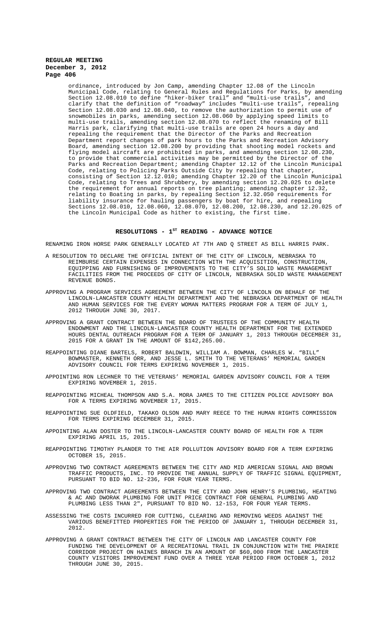ordinance, introduced by Jon Camp, amending Chapter 12.08 of the Lincoln Municipal Code, relating to General Rules and Regulations for Parks, by amending Section 12.08.010 to define "hiker-biker trail" and "multi-use trails", and clarify that the definition of "roadway" includes "multi-use trails", repealing Section 12.08.030 and 12.08.040, to remove the authorization to permit use of snowmobiles in parks, amending section 12.08.060 by applying speed limits to multi-use trails, amending section 12.08.070 to reflect the renaming of Bill Harris park, clarifying that multi-use trails are open 24 hours a day and repealing the requirement that the Director of the Parks and Recreation Department report changes of park hours to the Parks and Recreation Advisory Board, amending section 12.08.200 by providing that shooting model rockets and flying model aircraft are prohibited in parks, and amending section 12.08.230, to provide that commercial activities may be permitted by the Director of the Parks and Recreation Department; amending Chapter 12.12 of the Lincoln Municipal Code, relating to Policing Parks Outside City by repealing that chapter, consisting of Section 12.12.010; amending Chapter 12.20 of the Lincoln Municipal Code, relating to Trees and Shrubbery, by amending section 12.20.025 to delete the requirement for annual reports on tree planting; amending chapter 12.32, relating to Boating in parks, by repealing Section 12.32.050 requirements for liability insurance for hauling passengers by boat for hire, and repealing Sections 12.08.010, 12.08.060, 12.08.070, 12.08.200, 12.08.230, and 12.20.025 of the Lincoln Municipal Code as hither to existing, the first time.

#### RESOLUTIONS - 1<sup>st</sup> READING - ADVANCE NOTICE

RENAMING IRON HORSE PARK GENERALLY LOCATED AT 7TH AND Q STREET AS BILL HARRIS PARK.

- A RESOLUTION TO DECLARE THE OFFICIAL INTENT OF THE CITY OF LINCOLN, NEBRASKA TO REIMBURSE CERTAIN EXPENSES IN CONNECTION WITH THE ACQUISITION, CONSTRUCTION, EQUIPPING AND FURNISHING OF IMPROVEMENTS TO THE CITY'S SOLID WASTE MANAGEMENT FACILITIES FROM THE PROCEEDS OF CITY OF LINCOLN, NEBRASKA SOLID WASTE MANAGEMENT REVENUE BONDS.
- APPROVING A PROGRAM SERVICES AGREEMENT BETWEEN THE CITY OF LINCOLN ON BEHALF OF THE LINCOLN-LANCASTER COUNTY HEALTH DEPARTMENT AND THE NEBRASKA DEPARTMENT OF HEALTH AND HUMAN SERVICES FOR THE EVERY WOMAN MATTERS PROGRAM FOR A TERM OF JULY 1, 2012 THROUGH JUNE 30, 2017.
- APPROVING A GRANT CONTRACT BETWEEN THE BOARD OF TRUSTEES OF THE COMMUNITY HEALTH ENDOWMENT AND THE LINCOLN-LANCASTER COUNTY HEALTH DEPARTMENT FOR THE EXTENDED HOURS DENTAL OUTREACH PROGRAM FOR A TERM OF JANUARY 1, 2013 THROUGH DECEMBER 31, 2015 FOR A GRANT IN THE AMOUNT OF \$142,265.00.
- REAPPOINTING DIANE BARTELS, ROBERT BALDWIN, WILLIAM A. BOWMAN, CHARLES W. "BILL" BOWMASTER, KENNETH ORR, AND JESSE L. SMITH TO THE VETERANS' MEMORIAL GARDEN ADVISORY COUNCIL FOR TERMS EXPIRING NOVEMBER 1, 2015.
- APPOINTING RON LECHNER TO THE VETERANS' MEMORIAL GARDEN ADVISORY COUNCIL FOR A TERM EXPIRING NOVEMBER 1, 2015.
- REAPPOINTING MICHEAL THOMPSON AND S.A. MORA JAMES TO THE CITIZEN POLICE ADVISORY BOA FOR A TERMS EXPIRING NOVEMBER 17, 2015.
- REAPPOINTING SUE OLDFIELD, TAKAKO OLSON AND MARY REECE TO THE HUMAN RIGHTS COMMISSION FOR TERMS EXPIRING DECEMBER 31, 2015.
- APPOINTING ALAN DOSTER TO THE LINCOLN-LANCASTER COUNTY BOARD OF HEALTH FOR A TERM EXPIRING APRIL 15, 2015.
- REAPPOINTING TIMOTHY PLANDER TO THE AIR POLLUTION ADVISORY BOARD FOR A TERM EXPIRING OCTOBER 15, 2015.
- APPROVING TWO CONTRACT AGREEMENTS BETWEEN THE CITY AND MID AMERICAN SIGNAL AND BROWN TRAFFIC PRODUCTS, INC. TO PROVIDE THE ANNUAL SUPPLY OF TRAFFIC SIGNAL EQUIPMENT, PURSUANT TO BID NO. 12-236, FOR FOUR YEAR TERMS.
- APPROVING TWO CONTRACT AGREEMENTS BETWEEN THE CITY AND JOHN HENRY'S PLUMBING, HEATING & AC AND DWORAK PLUMBING FOR UNIT PRICE CONTRACT FOR GENERAL PLUMBING AND PLUMBING LESS THAN 2", PURSUANT TO BID NO. 12-153, FOR FOUR YEAR TERMS.
- ASSESSING THE COSTS INCURRED FOR CUTTING, CLEARING AND REMOVING WEEDS AGAINST THE VARIOUS BENEFITTED PROPERTIES FOR THE PERIOD OF JANUARY 1, THROUGH DECEMBER 31, 2012.
- APPROVING A GRANT CONTRACT BETWEEN THE CITY OF LINCOLN AND LANCASTER COUNTY FOR FUNDING THE DEVELOPMENT OF A RECREATIONAL TRAIL IN CONJUNCTION WITH THE PRAIRIE CORRIDOR PROJECT ON HAINES BRANCH IN AN AMOUNT OF \$60,000 FROM THE LANCASTER COUNTY VISITORS IMPROVEMENT FUND OVER A THREE YEAR PERIOD FROM OCTOBER 1, 2012 THROUGH JUNE 30, 2015.